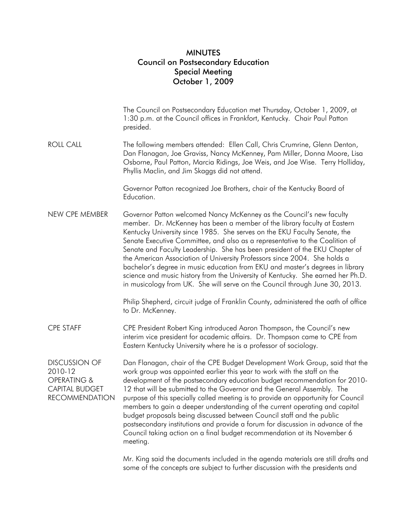## MINUTES Council on Postsecondary Education Special Meeting October 1, 2009

|                                                                                                  | The Council on Postsecondary Education met Thursday, October 1, 2009, at<br>1:30 p.m. at the Council offices in Frankfort, Kentucky. Chair Paul Patton<br>presided.                                                                                                                                                                                                                                                                                                                                                                                                                                                                                                                                                                      |
|--------------------------------------------------------------------------------------------------|------------------------------------------------------------------------------------------------------------------------------------------------------------------------------------------------------------------------------------------------------------------------------------------------------------------------------------------------------------------------------------------------------------------------------------------------------------------------------------------------------------------------------------------------------------------------------------------------------------------------------------------------------------------------------------------------------------------------------------------|
| <b>ROLL CALL</b>                                                                                 | The following members attended: Ellen Call, Chris Crumrine, Glenn Denton,<br>Dan Flanagan, Joe Graviss, Nancy McKenney, Pam Miller, Donna Moore, Lisa<br>Osborne, Paul Patton, Marcia Ridings, Joe Weis, and Joe Wise. Terry Holliday,<br>Phyllis Maclin, and Jim Skaggs did not attend.                                                                                                                                                                                                                                                                                                                                                                                                                                                 |
|                                                                                                  | Governor Patton recognized Joe Brothers, chair of the Kentucky Board of<br>Education.                                                                                                                                                                                                                                                                                                                                                                                                                                                                                                                                                                                                                                                    |
| NEW CPE MEMBER                                                                                   | Governor Patton welcomed Nancy McKenney as the Council's new faculty<br>member. Dr. McKenney has been a member of the library faculty at Eastern<br>Kentucky University since 1985. She serves on the EKU Faculty Senate, the<br>Senate Executive Committee, and also as a representative to the Coalition of<br>Senate and Faculty Leadership. She has been president of the EKU Chapter of<br>the American Association of University Professors since 2004. She holds a<br>bachelor's degree in music education from EKU and master's degrees in library<br>science and music history from the University of Kentucky. She earned her Ph.D.<br>in musicology from UK. She will serve on the Council through June 30, 2013.             |
|                                                                                                  | Philip Shepherd, circuit judge of Franklin County, administered the oath of office<br>to Dr. McKenney.                                                                                                                                                                                                                                                                                                                                                                                                                                                                                                                                                                                                                                   |
| <b>CPE STAFF</b>                                                                                 | CPE President Robert King introduced Aaron Thompson, the Council's new<br>interim vice president for academic affairs. Dr. Thompson came to CPE from<br>Eastern Kentucky University where he is a professor of sociology.                                                                                                                                                                                                                                                                                                                                                                                                                                                                                                                |
| <b>DISCUSSION OF</b><br>2010-12<br>OPERATING &<br><b>CAPITAL BUDGET</b><br><b>RECOMMENDATION</b> | Dan Flanagan, chair of the CPE Budget Development Work Group, said that the<br>work group was appointed earlier this year to work with the staff on the<br>development of the postsecondary education budget recommendation for 2010-<br>12 that will be submitted to the Governor and the General Assembly. The<br>purpose of this specially called meeting is to provide an opportunity for Council<br>members to gain a deeper understanding of the current operating and capital<br>budget proposals being discussed between Council staff and the public<br>postsecondary institutions and provide a forum for discussion in advance of the<br>Council taking action on a final budget recommendation at its November 6<br>meeting. |
|                                                                                                  | Mr. King said the documents included in the agenda materials are still drafts and<br>some of the concepts are subject to further discussion with the presidents and                                                                                                                                                                                                                                                                                                                                                                                                                                                                                                                                                                      |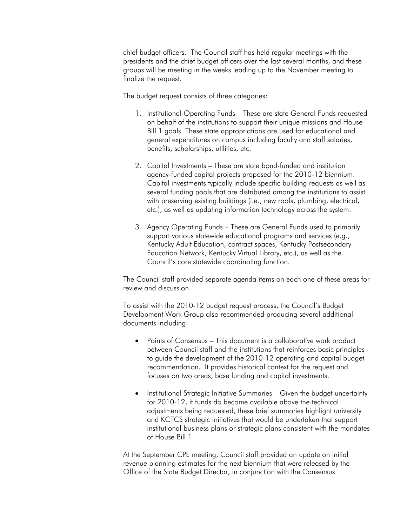chief budget officers. The Council staff has held regular meetings with the presidents and the chief budget officers over the last several months, and these groups will be meeting in the weeks leading up to the November meeting to finalize the request.

The budget request consists of three categories:

- 1. Institutional Operating Funds These are state General Funds requested on behalf of the institutions to support their unique missions and House Bill 1 goals. These state appropriations are used for educational and general expenditures on campus including faculty and staff salaries, benefits, scholarships, utilities, etc.
- 2. Capital Investments These are state bond-funded and institution agency-funded capital projects proposed for the 2010-12 biennium. Capital investments typically include specific building requests as well as several funding pools that are distributed among the institutions to assist with preserving existing buildings (i.e., new roofs, plumbing, electrical, etc.), as well as updating information technology across the system.
- 3. Agency Operating Funds These are General Funds used to primarily support various statewide educational programs and services (e.g., Kentucky Adult Education, contract spaces, Kentucky Postsecondary Education Network, Kentucky Virtual Library, etc.), as well as the Council's core statewide coordinating function.

The Council staff provided separate agenda items on each one of these areas for review and discussion.

To assist with the 2010-12 budget request process, the Council's Budget Development Work Group also recommended producing several additional documents including:

- Points of Consensus This document is a collaborative work product between Council staff and the institutions that reinforces basic principles to guide the development of the 2010-12 operating and capital budget recommendation. It provides historical context for the request and focuses on two areas, base funding and capital investments.
- Institutional Strategic Initiative Summaries Given the budget uncertainty for 2010-12, if funds do become available above the technical adjustments being requested, these brief summaries highlight university and KCTCS strategic initiatives that would be undertaken that support institutional business plans or strategic plans consistent with the mandates of House Bill 1.

At the September CPE meeting, Council staff provided an update on initial revenue planning estimates for the next biennium that were released by the Office of the State Budget Director, in conjunction with the Consensus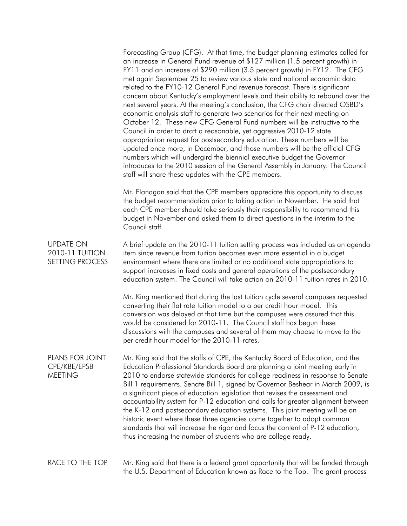|                                                        | Forecasting Group (CFG). At that time, the budget planning estimates called for<br>an increase in General Fund revenue of \$127 million (1.5 percent growth) in<br>FY11 and an increase of \$290 million (3.5 percent growth) in FY12. The CFG<br>met again September 25 to review various state and national economic data<br>related to the FY10-12 General Fund revenue forecast. There is significant<br>concern about Kentucky's employment levels and their ability to rebound over the<br>next several years. At the meeting's conclusion, the CFG chair directed OSBD's<br>economic analysis staff to generate two scenarios for their next meeting on<br>October 12. These new CFG General Fund numbers will be instructive to the<br>Council in order to draft a reasonable, yet aggressive 2010-12 state<br>appropriation request for postsecondary education. These numbers will be<br>updated once more, in December, and those numbers will be the official CFG<br>numbers which will undergird the biennial executive budget the Governor<br>introduces to the 2010 session of the General Assembly in January. The Council<br>staff will share these updates with the CPE members. |
|--------------------------------------------------------|----------------------------------------------------------------------------------------------------------------------------------------------------------------------------------------------------------------------------------------------------------------------------------------------------------------------------------------------------------------------------------------------------------------------------------------------------------------------------------------------------------------------------------------------------------------------------------------------------------------------------------------------------------------------------------------------------------------------------------------------------------------------------------------------------------------------------------------------------------------------------------------------------------------------------------------------------------------------------------------------------------------------------------------------------------------------------------------------------------------------------------------------------------------------------------------------------|
|                                                        | Mr. Flanagan said that the CPE members appreciate this opportunity to discuss<br>the budget recommendation prior to taking action in November. He said that<br>each CPE member should take seriously their responsibility to recommend this<br>budget in November and asked them to direct questions in the interim to the<br>Council staff.                                                                                                                                                                                                                                                                                                                                                                                                                                                                                                                                                                                                                                                                                                                                                                                                                                                       |
| <b>UPDATE ON</b><br>2010-11 TUITION<br>SETTING PROCESS | A brief update on the 2010-11 tuition setting process was included as an agenda<br>item since revenue from tuition becomes even more essential in a budget<br>environment where there are limited or no additional state appropriations to<br>support increases in fixed costs and general operations of the postsecondary<br>education system. The Council will take action on 2010-11 tuition rates in 2010.                                                                                                                                                                                                                                                                                                                                                                                                                                                                                                                                                                                                                                                                                                                                                                                     |
|                                                        | Mr. King mentioned that during the last tuition cycle several campuses requested<br>converting their flat rate tuition model to a per credit hour model. This<br>conversion was delayed at that time but the campuses were assured that this<br>would be considered for 2010-11. The Council staff has begun these<br>discussions with the campuses and several of them may choose to move to the<br>per credit hour model for the 2010-11 rates.                                                                                                                                                                                                                                                                                                                                                                                                                                                                                                                                                                                                                                                                                                                                                  |
| PLANS FOR JOINT<br>CPE/KBE/EPSB<br><b>MEETING</b>      | Mr. King said that the staffs of CPE, the Kentucky Board of Education, and the<br>Education Professional Standards Board are planning a joint meeting early in<br>2010 to endorse statewide standards for college readiness in response to Senate<br>Bill 1 requirements. Senate Bill 1, signed by Governor Beshear in March 2009, is<br>a significant piece of education legislation that revises the assessment and<br>accountability system for P-12 education and calls for greater alignment between<br>the K-12 and postsecondary education systems. This joint meeting will be an<br>historic event where these three agencies come together to adopt common<br>standards that will increase the rigor and focus the content of P-12 education,<br>thus increasing the number of students who are college ready.                                                                                                                                                                                                                                                                                                                                                                            |
| RACE TO THE TOP                                        | Mr. King said that there is a federal grant opportunity that will be funded through<br>the U.S. Department of Education known as Race to the Top. The grant process                                                                                                                                                                                                                                                                                                                                                                                                                                                                                                                                                                                                                                                                                                                                                                                                                                                                                                                                                                                                                                |